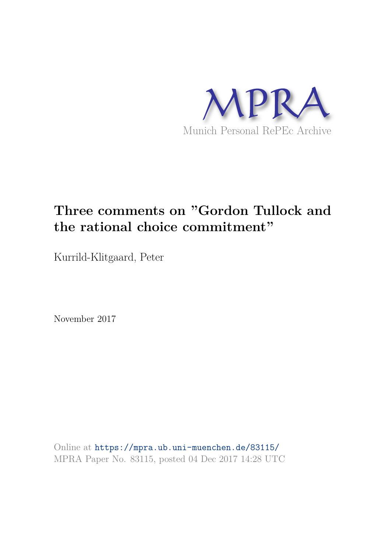

# **Three comments on "Gordon Tullock and the rational choice commitment"**

Kurrild-Klitgaard, Peter

November 2017

Online at https://mpra.ub.uni-muenchen.de/83115/ MPRA Paper No. 83115, posted 04 Dec 2017 14:28 UTC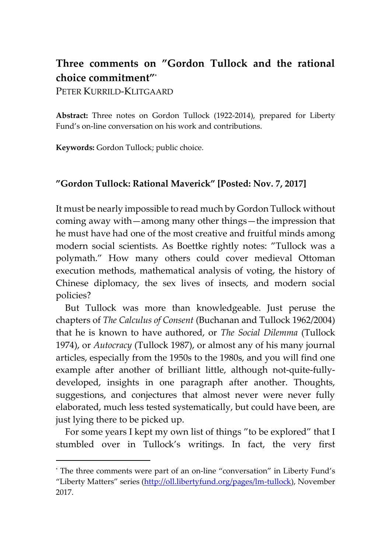# **Three comments on "Gordon Tullock and the rational choice commitment"**\*

PETER KURRILD-KLITGAARD

-

**Abstract:** Three notes on Gordon Tullock (1922-2014), prepared for Liberty Fund's on-line conversation on his work and contributions.

**Keywords:** Gordon Tullock; public choice.

#### **"Gordon Tullock: Rational Maverick" [Posted: Nov. 7, 2017]**

It must be nearly impossible to read much by Gordon Tullock without coming away with—among many other things—the impression that he must have had one of the most creative and fruitful minds among modern social scientists. As Boettke rightly notes: "Tullock was a polymath." How many others could cover medieval Ottoman execution methods, mathematical analysis of voting, the history of Chinese diplomacy, the sex lives of insects, and modern social policies?

But Tullock was more than knowledgeable. Just peruse the chapters of *The Calculus of Consent* (Buchanan and Tullock 1962/2004) that he is known to have authored, or *The Social Dilemma* (Tullock 1974), or *Autocracy* (Tullock 1987), or almost any of his many journal articles, especially from the 1950s to the 1980s, and you will find one example after another of brilliant little, although not-quite-fullydeveloped, insights in one paragraph after another. Thoughts, suggestions, and conjectures that almost never were never fully elaborated, much less tested systematically, but could have been, are just lying there to be picked up.

For some years I kept my own list of things "to be explored" that I stumbled over in Tullock's writings. In fact, the very first

<sup>\*</sup> The three comments were part of an on-line "conversation" in Liberty Fund's "Liberty Matters" series [\(http://oll.libertyfund.org/pages/lm-tullock\)](http://oll.libertyfund.org/pages/lm-tullock), November 2017.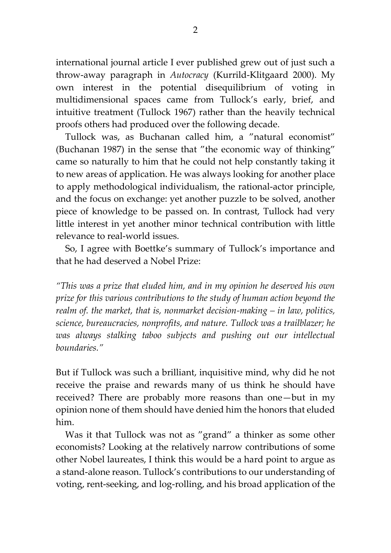international journal article I ever published grew out of just such a throw-away paragraph in *Autocracy* (Kurrild-Klitgaard 2000). My own interest in the potential disequilibrium of voting in multidimensional spaces came from Tullock's early, brief, and intuitive treatment (Tullock 1967) rather than the heavily technical proofs others had produced over the following decade.

Tullock was, as Buchanan called him, a "natural economist" (Buchanan 1987) in the sense that "the economic way of thinking" came so naturally to him that he could not help constantly taking it to new areas of application. He was always looking for another place to apply methodological individualism, the rational-actor principle, and the focus on exchange: yet another puzzle to be solved, another piece of knowledge to be passed on. In contrast, Tullock had very little interest in yet another minor technical contribution with little relevance to real-world issues.

So, I agree with Boettke's summary of Tullock's importance and that he had deserved a Nobel Prize:

*"This was a prize that eluded him, and in my opinion he deserved his own prize for this various contributions to the study of human action beyond the realm of. the market, that is, nonmarket decision-making – in law, politics, science, bureaucracies, nonprofits, and nature. Tullock was a trailblazer; he* was always stalking taboo subjects and pushing out our intellectual *boundaries."*

But if Tullock was such a brilliant, inquisitive mind, why did he not receive the praise and rewards many of us think he should have received? There are probably more reasons than one—but in my opinion none of them should have denied him the honors that eluded him.

Was it that Tullock was not as "grand" a thinker as some other economists? Looking at the relatively narrow contributions of some other Nobel laureates, I think this would be a hard point to argue as a stand-alone reason. Tullock's contributions to our understanding of voting, rent-seeking, and log-rolling, and his broad application of the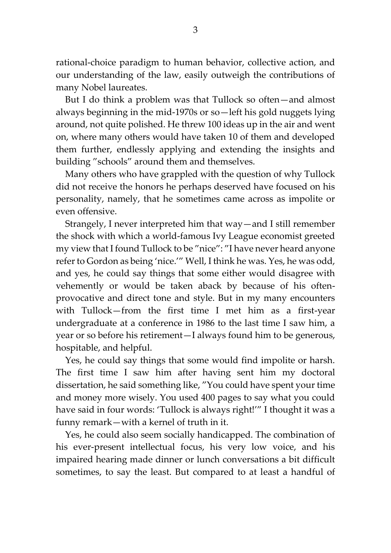rational-choice paradigm to human behavior, collective action, and our understanding of the law, easily outweigh the contributions of many Nobel laureates.

But I do think a problem was that Tullock so often—and almost always beginning in the mid-1970s or so—left his gold nuggets lying around, not quite polished. He threw 100 ideas up in the air and went on, where many others would have taken 10 of them and developed them further, endlessly applying and extending the insights and building "schools" around them and themselves.

Many others who have grappled with the question of why Tullock did not receive the honors he perhaps deserved have focused on his personality, namely, that he sometimes came across as impolite or even offensive.

Strangely, I never interpreted him that way—and I still remember the shock with which a world-famous Ivy League economist greeted my view that I found Tullock to be "nice": "I have never heard anyone refer to Gordon as being 'nice.'" Well, I think he was. Yes, he was odd, and yes, he could say things that some either would disagree with vehemently or would be taken aback by because of his oftenprovocative and direct tone and style. But in my many encounters with Tullock—from the first time I met him as a first-year undergraduate at a conference in 1986 to the last time I saw him, a year or so before his retirement—I always found him to be generous, hospitable, and helpful.

Yes, he could say things that some would find impolite or harsh. The first time I saw him after having sent him my doctoral dissertation, he said something like, "You could have spent your time and money more wisely. You used 400 pages to say what you could have said in four words: 'Tullock is always right!'" I thought it was a funny remark—with a kernel of truth in it.

Yes, he could also seem socially handicapped. The combination of his ever-present intellectual focus, his very low voice, and his impaired hearing made dinner or lunch conversations a bit difficult sometimes, to say the least. But compared to at least a handful of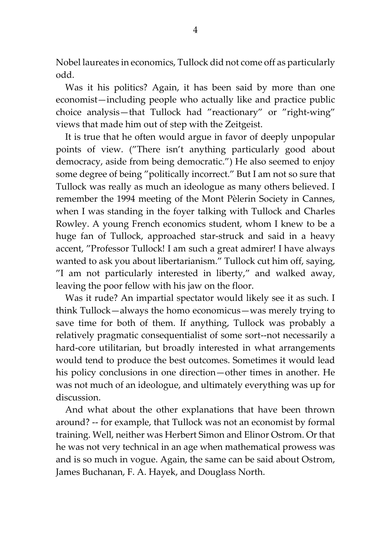Nobel laureates in economics, Tullock did not come off as particularly odd.

Was it his politics? Again, it has been said by more than one economist—including people who actually like and practice public choice analysis—that Tullock had "reactionary" or "right-wing" views that made him out of step with the Zeitgeist.

It is true that he often would argue in favor of deeply unpopular points of view. ("There isn't anything particularly good about democracy, aside from being democratic.") He also seemed to enjoy some degree of being "politically incorrect." But I am not so sure that Tullock was really as much an ideologue as many others believed. I remember the 1994 meeting of the Mont Pèlerin Society in Cannes, when I was standing in the foyer talking with Tullock and Charles Rowley. A young French economics student, whom I knew to be a huge fan of Tullock, approached star-struck and said in a heavy accent, "Professor Tullock! I am such a great admirer! I have always wanted to ask you about libertarianism." Tullock cut him off, saying, "I am not particularly interested in liberty," and walked away, leaving the poor fellow with his jaw on the floor.

Was it rude? An impartial spectator would likely see it as such. I think Tullock—always the homo economicus—was merely trying to save time for both of them. If anything, Tullock was probably a relatively pragmatic consequentialist of some sort--not necessarily a hard-core utilitarian, but broadly interested in what arrangements would tend to produce the best outcomes. Sometimes it would lead his policy conclusions in one direction—other times in another. He was not much of an ideologue, and ultimately everything was up for discussion.

And what about the other explanations that have been thrown around? -- for example, that Tullock was not an economist by formal training. Well, neither was Herbert Simon and Elinor Ostrom. Or that he was not very technical in an age when mathematical prowess was and is so much in vogue. Again, the same can be said about Ostrom, James Buchanan, F. A. Hayek, and Douglass North.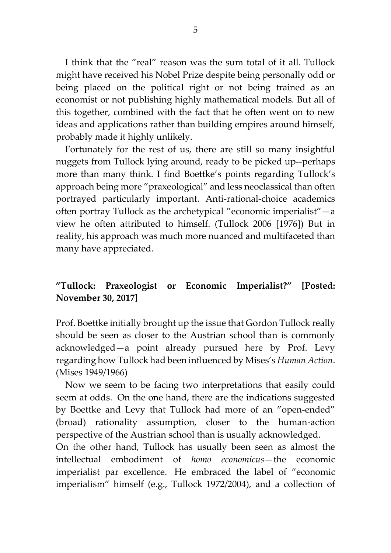I think that the "real" reason was the sum total of it all. Tullock might have received his Nobel Prize despite being personally odd or being placed on the political right or not being trained as an economist or not publishing highly mathematical models. But all of this together, combined with the fact that he often went on to new ideas and applications rather than building empires around himself, probably made it highly unlikely.

Fortunately for the rest of us, there are still so many insightful nuggets from Tullock lying around, ready to be picked up--perhaps more than many think. I find Boettke's points regarding Tullock's approach being more "praxeological" and less neoclassical than often portrayed particularly important. Anti-rational-choice academics often portray Tullock as the archetypical "economic imperialist"—a view he often attributed to himself. (Tullock 2006 [1976]) But in reality, his approach was much more nuanced and multifaceted than many have appreciated.

## **"Tullock: Praxeologist or Economic Imperialist?" [Posted: November 30, 2017]**

Prof. Boettke initially brought up the issue that Gordon Tullock really should be seen as closer to the Austrian school than is commonly acknowledged—a point already pursued here by Prof. Levy regarding how Tullock had been influenced by Mises's *Human Action*. (Mises 1949/1966)

Now we seem to be facing two interpretations that easily could seem at odds. On the one hand, there are the indications suggested by Boettke and Levy that Tullock had more of an "open-ended" (broad) rationality assumption, closer to the human-action perspective of the Austrian school than is usually acknowledged.

On the other hand, Tullock has usually been seen as almost the intellectual embodiment of *homo economicus*—the economic imperialist par excellence. He embraced the label of "economic imperialism" himself (e.g., Tullock 1972/2004), and a collection of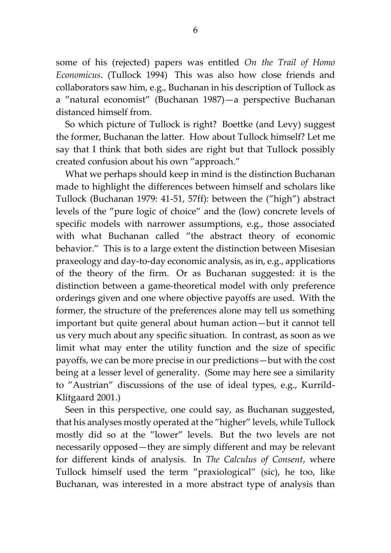some of his (rejected) papers was entitled *On the Trail of Homo Economicus*. (Tullock 1994) This was also how close friends and collaborators saw him, e.g., Buchanan in his description of Tullock as a "natural economist" (Buchanan 1987)—a perspective Buchanan distanced himself from.

So which picture of Tullock is right? Boettke (and Levy) suggest the former, Buchanan the latter. How about Tullock himself? Let me say that I think that both sides are right but that Tullock possibly created confusion about his own "approach."

What we perhaps should keep in mind is the distinction Buchanan made to highlight the differences between himself and scholars like Tullock (Buchanan 1979: 41-51, 57ff): between the ("high") abstract levels of the "pure logic of choice" and the (low) concrete levels of specific models with narrower assumptions, e.g., those associated with what Buchanan called "the abstract theory of economic behavior." This is to a large extent the distinction between Misesian praxeology and day-to-day economic analysis, as in, e.g., applications of the theory of the firm. Or as Buchanan suggested: it is the distinction between a game-theoretical model with only preference orderings given and one where objective payoffs are used. With the former, the structure of the preferences alone may tell us something important but quite general about human action—but it cannot tell us very much about any specific situation. In contrast, as soon as we limit what may enter the utility function and the size of specific payoffs, we can be more precise in our predictions—but with the cost being at a lesser level of generality. (Some may here see a similarity to "Austrian" discussions of the use of ideal types, e.g., Kurrild-Klitgaard 2001.)

Seen in this perspective, one could say, as Buchanan suggested, that his analyses mostly operated at the "higher" levels, while Tullock mostly did so at the "lower" levels. But the two levels are not necessarily opposed—they are simply different and may be relevant for different kinds of analysis. In *The Calculus of Consent*, where Tullock himself used the term "praxiological" (sic), he too, like Buchanan, was interested in a more abstract type of analysis than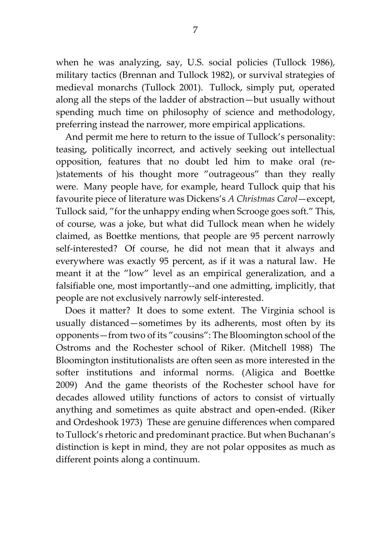when he was analyzing, say, U.S. social policies (Tullock 1986), military tactics (Brennan and Tullock 1982), or survival strategies of medieval monarchs (Tullock 2001). Tullock, simply put, operated along all the steps of the ladder of abstraction—but usually without spending much time on philosophy of science and methodology, preferring instead the narrower, more empirical applications.

And permit me here to return to the issue of Tullock's personality: teasing, politically incorrect, and actively seeking out intellectual opposition, features that no doubt led him to make oral (re- )statements of his thought more "outrageous" than they really were. Many people have, for example, heard Tullock quip that his favourite piece of literature was Dickens's *A Christmas Carol*—except, Tullock said, "for the unhappy ending when Scrooge goes soft." This, of course, was a joke, but what did Tullock mean when he widely claimed, as Boettke mentions, that people are 95 percent narrowly self-interested? Of course, he did not mean that it always and everywhere was exactly 95 percent, as if it was a natural law. He meant it at the "low" level as an empirical generalization, and a falsifiable one, most importantly--and one admitting, implicitly, that people are not exclusively narrowly self-interested.

Does it matter? It does to some extent. The Virginia school is usually distanced—sometimes by its adherents, most often by its opponents—from two of its "cousins": The Bloomington school of the Ostroms and the Rochester school of Riker. (Mitchell 1988) The Bloomington institutionalists are often seen as more interested in the softer institutions and informal norms. (Aligica and Boettke 2009) And the game theorists of the Rochester school have for decades allowed utility functions of actors to consist of virtually anything and sometimes as quite abstract and open-ended. (Riker and Ordeshook 1973) These are genuine differences when compared to Tullock's rhetoric and predominant practice. But when Buchanan's distinction is kept in mind, they are not polar opposites as much as different points along a continuum.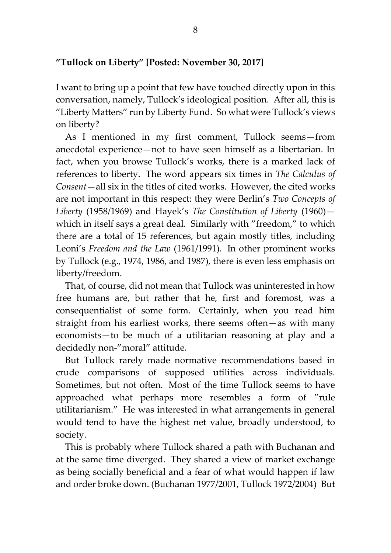### **"Tullock on Liberty" [Posted: November 30, 2017]**

I want to bring up a point that few have touched directly upon in this conversation, namely, Tullock's ideological position. After all, this is "Liberty Matters" run by Liberty Fund. So what were Tullock's views on liberty?

As I mentioned in my first comment, Tullock seems—from anecdotal experience—not to have seen himself as a libertarian. In fact, when you browse Tullock's works, there is a marked lack of references to liberty. The word appears six times in *The Calculus of Consent*—all six in the titles of cited works. However, the cited works are not important in this respect: they were Berlin's *Two Concepts of Liberty* (1958/1969) and Hayek's *The Constitution of Liberty* (1960) which in itself says a great deal. Similarly with "freedom," to which there are a total of 15 references, but again mostly titles, including Leoni's *Freedom and the Law* (1961/1991). In other prominent works by Tullock (e.g., 1974, 1986, and 1987), there is even less emphasis on liberty/freedom.

That, of course, did not mean that Tullock was uninterested in how free humans are, but rather that he, first and foremost, was a consequentialist of some form. Certainly, when you read him straight from his earliest works, there seems often—as with many economists—to be much of a utilitarian reasoning at play and a decidedly non-"moral" attitude.

But Tullock rarely made normative recommendations based in crude comparisons of supposed utilities across individuals. Sometimes, but not often. Most of the time Tullock seems to have approached what perhaps more resembles a form of "rule utilitarianism." He was interested in what arrangements in general would tend to have the highest net value, broadly understood, to society.

This is probably where Tullock shared a path with Buchanan and at the same time diverged. They shared a view of market exchange as being socially beneficial and a fear of what would happen if law and order broke down. (Buchanan 1977/2001, Tullock 1972/2004) But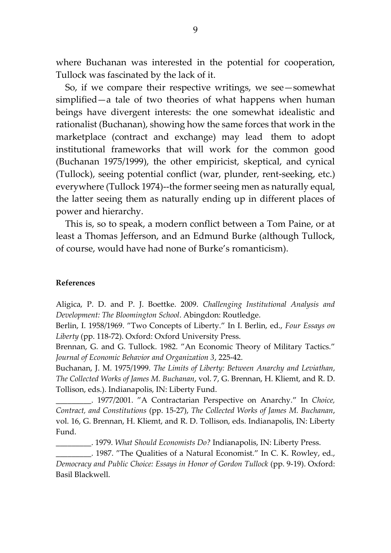where Buchanan was interested in the potential for cooperation, Tullock was fascinated by the lack of it.

So, if we compare their respective writings, we see—somewhat simplified—a tale of two theories of what happens when human beings have divergent interests: the one somewhat idealistic and rationalist (Buchanan), showing how the same forces that work in the marketplace (contract and exchange) may lead them to adopt institutional frameworks that will work for the common good (Buchanan 1975/1999), the other empiricist, skeptical, and cynical (Tullock), seeing potential conflict (war, plunder, rent-seeking, etc.) everywhere (Tullock 1974)--the former seeing men as naturally equal, the latter seeing them as naturally ending up in different places of power and hierarchy.

This is, so to speak, a modern conflict between a Tom Paine, or at least a Thomas Jefferson, and an Edmund Burke (although Tullock, of course, would have had none of Burke's romanticism).

#### **References**

Aligica, P. D. and P. J. Boettke. 2009. *Challenging Institutional Analysis and Development: The Bloomington School*. Abingdon: Routledge.

Berlin, I. 1958/1969. "Two Concepts of Liberty." In I. Berlin, ed., *Four Essays on Liberty* (pp. 118-72). Oxford: Oxford University Press.

Brennan, G. and G. Tullock. 1982. "An Economic Theory of Military Tactics." *Journal of Economic Behavior and Organization 3*, 225-42.

Buchanan, J. M. 1975/1999. *The Limits of Liberty: Between Anarchy and Leviathan*, *The Collected Works of James M. Buchanan*, vol. 7, G. Brennan, H. Kliemt, and R. D. Tollison, eds.). Indianapolis, IN: Liberty Fund.

\_\_\_\_\_\_\_\_\_. 1977/2001. "A Contractarian Perspective on Anarchy." In *Choice, Contract, and Constitutions* (pp. 15-27), *The Collected Works of James M. Buchanan*, vol. 16, G. Brennan, H. Kliemt, and R. D. Tollison, eds. Indianapolis, IN: Liberty Fund.

\_\_\_\_\_\_\_\_\_. 1979. *What Should Economists Do?* Indianapolis, IN: Liberty Press.

\_\_\_\_\_\_\_\_\_. 1987. "The Qualities of a Natural Economist." In C. K. Rowley, ed., *Democracy and Public Choice: Essays in Honor of Gordon Tullock* (pp. 9-19). Oxford: Basil Blackwell.